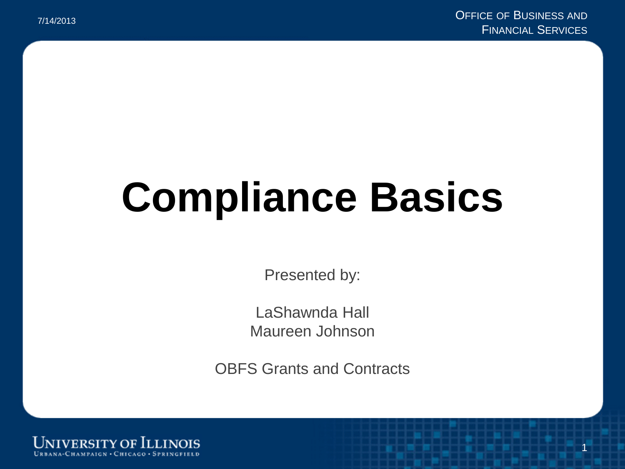1

# **Compliance Basics**

Presented by:

LaShawnda Hall Maureen Johnson

OBFS Grants and Contracts

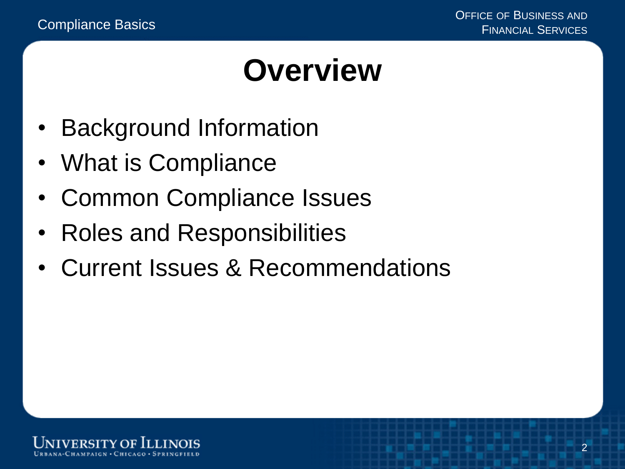#### **Overview**

- Background Information
- What is Compliance
- Common Compliance Issues
- Roles and Responsibilities
- Current Issues & Recommendations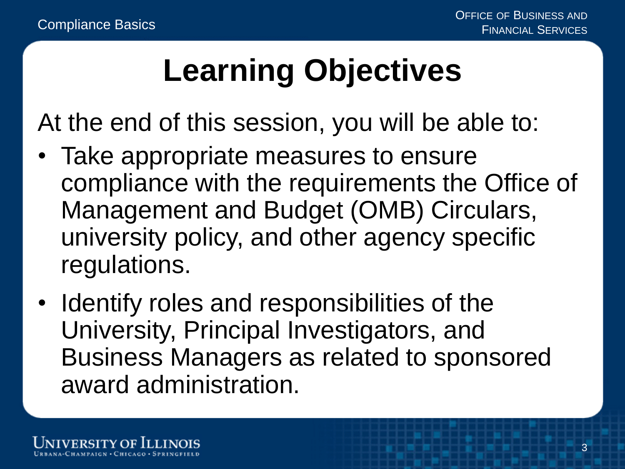### **Learning Objectives**

At the end of this session, you will be able to:

- Take appropriate measures to ensure compliance with the requirements the Office of Management and Budget (OMB) Circulars, university policy, and other agency specific regulations.
- Identify roles and responsibilities of the University, Principal Investigators, and Business Managers as related to sponsored award administration.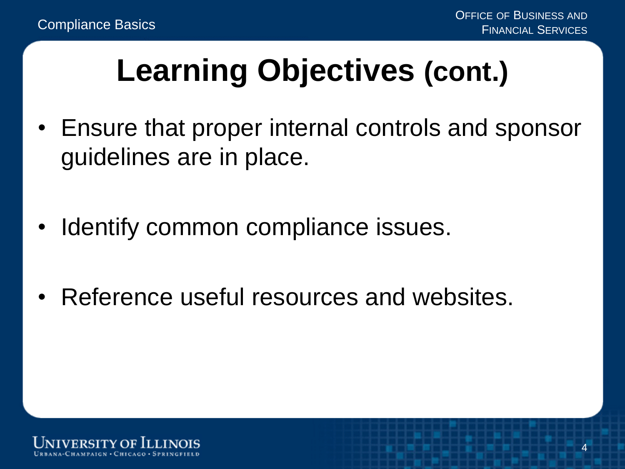### **Learning Objectives (cont.)**

- Ensure that proper internal controls and sponsor guidelines are in place.
- Identify common compliance issues.
- Reference useful resources and websites.

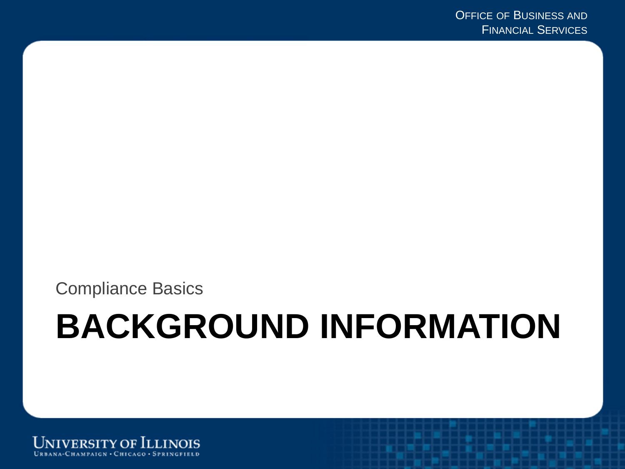Compliance Basics

## **BACKGROUND INFORMATION**

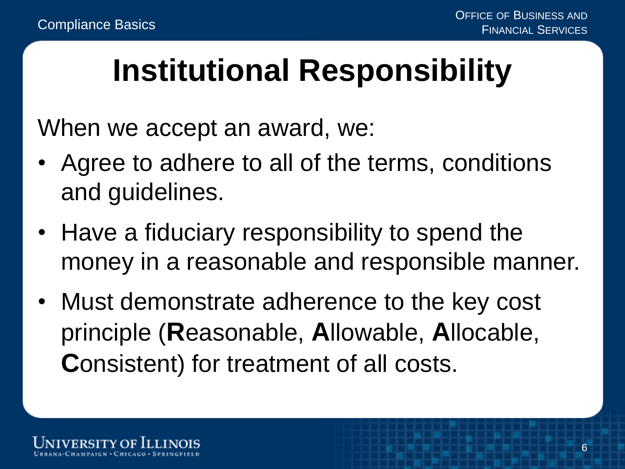#### **Institutional Responsibility**

When we accept an award, we:

- Agree to adhere to all of the terms, conditions and guidelines.
- Have a fiduciary responsibility to spend the money in a reasonable and responsible manner.
- Must demonstrate adherence to the key cost principle (**R**easonable, **A**llowable, **A**llocable, **C**onsistent) for treatment of all costs.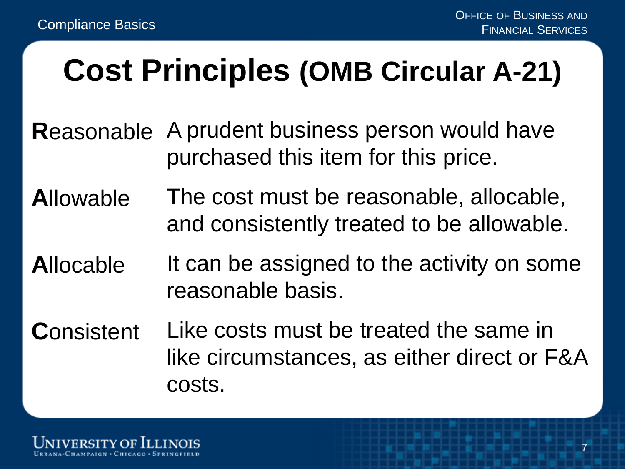#### **Cost Principles (OMB Circular A-21)**

- **R**easonable A prudent business person would have purchased this item for this price.
- **A**llowable The cost must be reasonable, allocable, and consistently treated to be allowable.
- **A**llocable It can be assigned to the activity on some reasonable basis.
- **C**onsistent Like costs must be treated the same in like circumstances, as either direct or F&A costs.

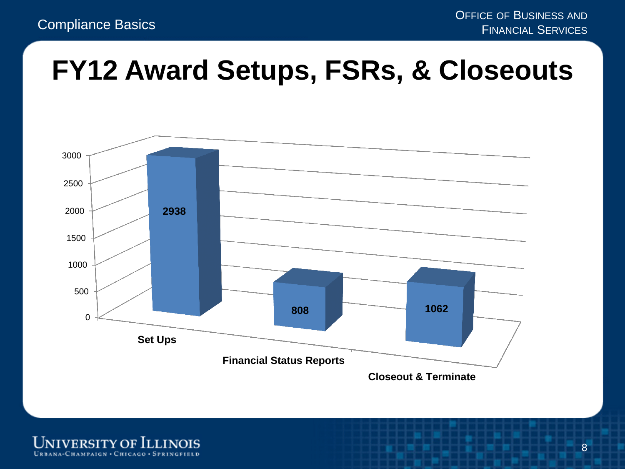#### **FY12 Award Setups, FSRs, & Closeouts**



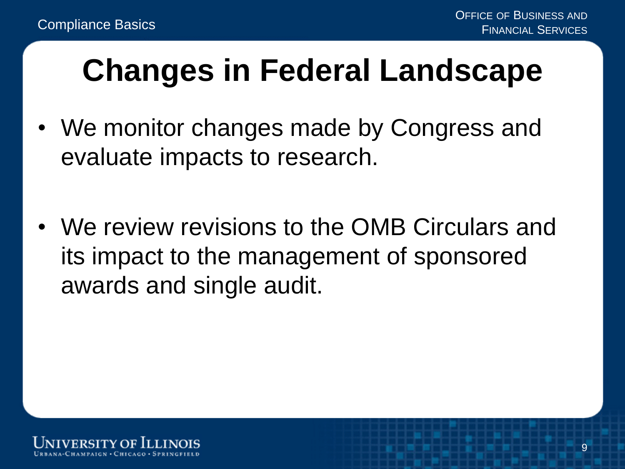### **Changes in Federal Landscape**

- We monitor changes made by Congress and evaluate impacts to research.
- We review revisions to the OMB Circulars and its impact to the management of sponsored awards and single audit.

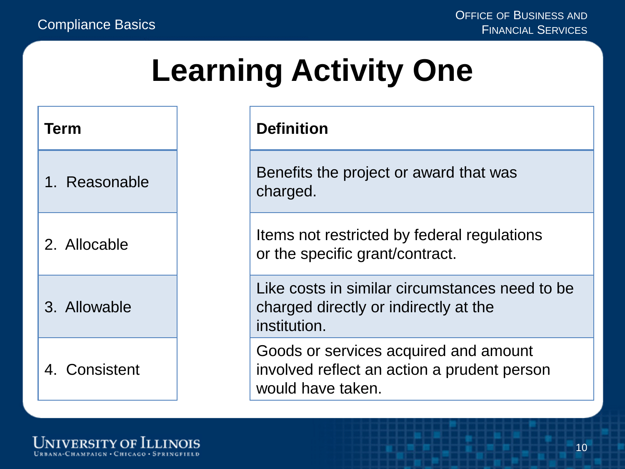#### **Learning Activity One**

# **Term** 1. Reasonable 2. Allocable 3. Allowable 4. Consistent

#### **Definition**

Benefits the project or award that was charged.

Items not restricted by federal regulations or the specific grant/contract.

Like costs in similar circumstances need to be charged directly or indirectly at the institution.

Goods or services acquired and amount involved reflect an action a prudent person would have taken.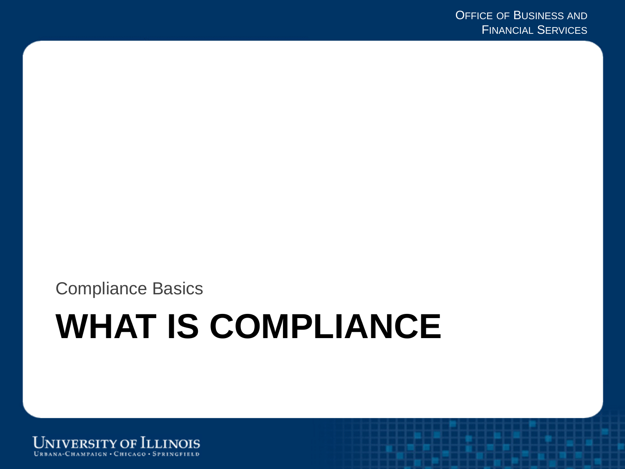Compliance Basics

## **WHAT IS COMPLIANCE**

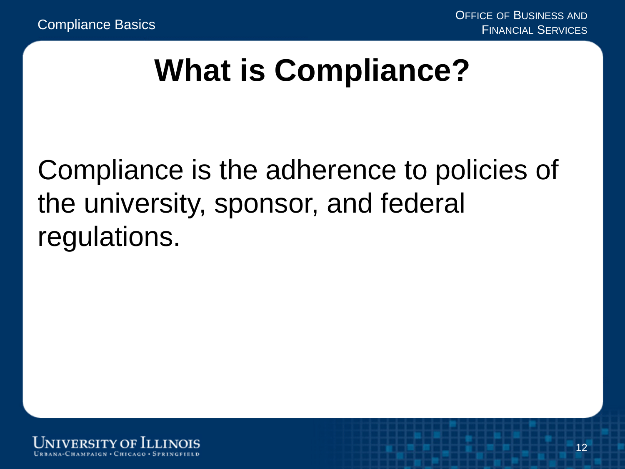#### **What is Compliance?**

#### Compliance is the adherence to policies of the university, sponsor, and federal regulations.

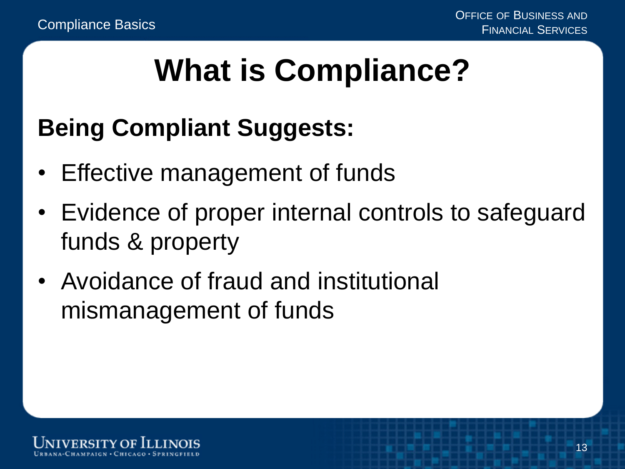### **What is Compliance?**

#### **Being Compliant Suggests:**

- Effective management of funds
- Evidence of proper internal controls to safeguard funds & property
- Avoidance of fraud and institutional mismanagement of funds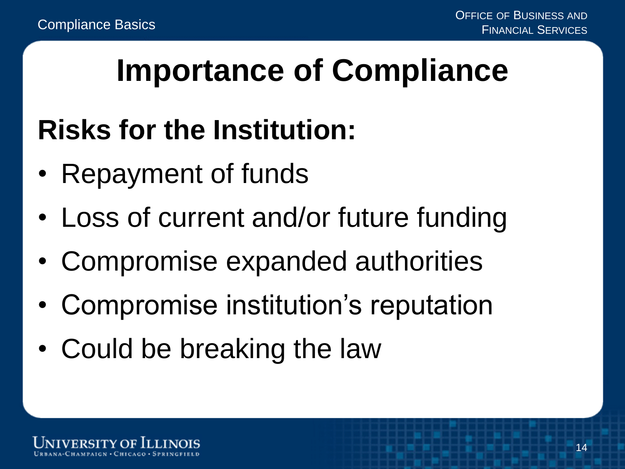#### **Importance of Compliance**

#### **Risks for the Institution:**

- Repayment of funds
- Loss of current and/or future funding
- Compromise expanded authorities
- Compromise institution's reputation
- Could be breaking the law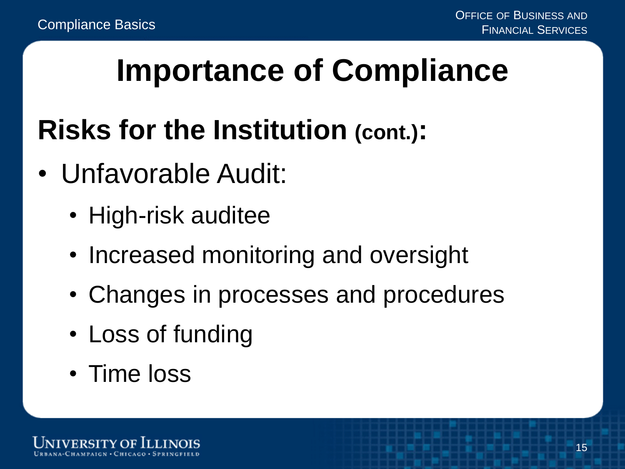### **Importance of Compliance**

#### **Risks for the Institution (cont.):**

- Unfavorable Audit:
	- High-risk auditee
	- Increased monitoring and oversight
	- Changes in processes and procedures
	- Loss of funding
	- Time loss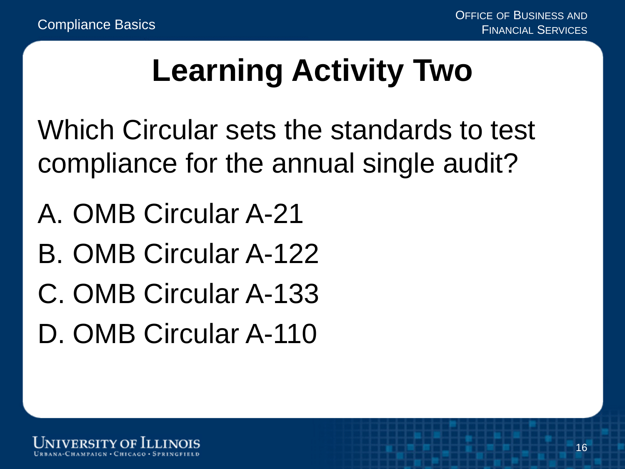### **Learning Activity Two**

Which Circular sets the standards to test compliance for the annual single audit?

- A. OMB Circular A-21
- B. OMB Circular A-122
- C. OMB Circular A-133
- D. OMB Circular A-110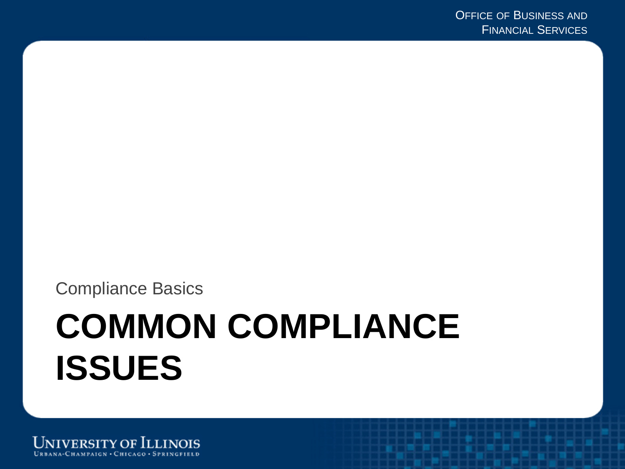Compliance Basics

## **COMMON COMPLIANCE ISSUES**

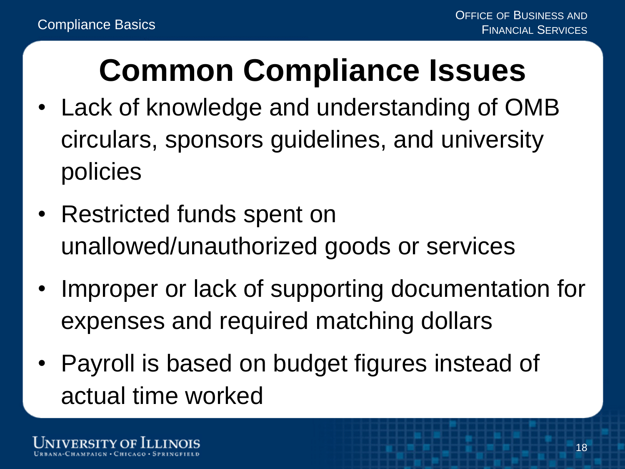### **Common Compliance Issues**

- Lack of knowledge and understanding of OMB circulars, sponsors guidelines, and university policies
- Restricted funds spent on unallowed/unauthorized goods or services
- Improper or lack of supporting documentation for expenses and required matching dollars
- Payroll is based on budget figures instead of actual time worked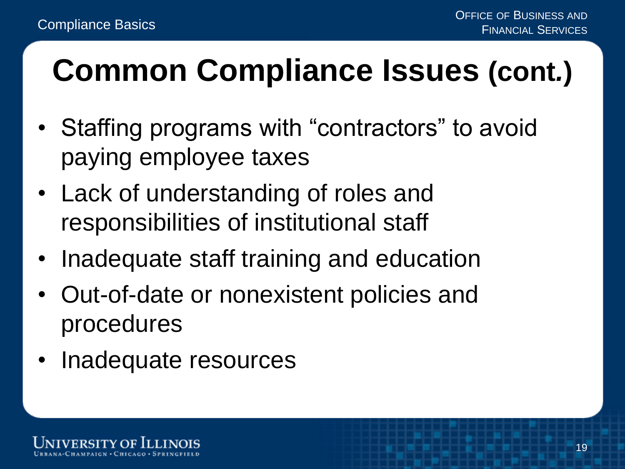## **Common Compliance Issues (cont***.***)**

- Staffing programs with "contractors" to avoid paying employee taxes
- Lack of understanding of roles and responsibilities of institutional staff
- Inadequate staff training and education
- Out-of-date or nonexistent policies and procedures
- Inadequate resources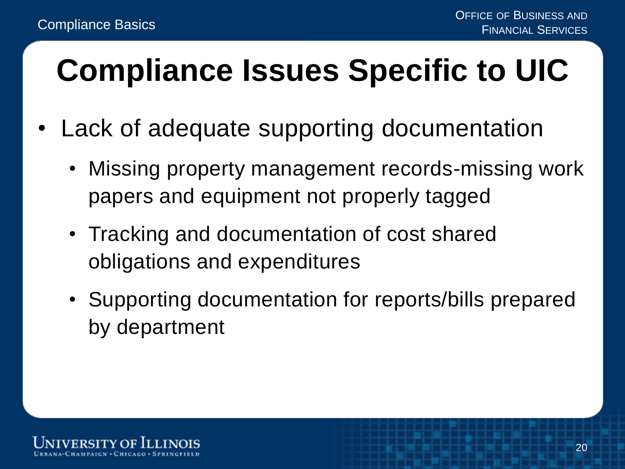### **Compliance Issues Specific to UIC**

- Lack of adequate supporting documentation
	- Missing property management records-missing work papers and equipment not properly tagged
	- Tracking and documentation of cost shared obligations and expenditures
	- Supporting documentation for reports/bills prepared by department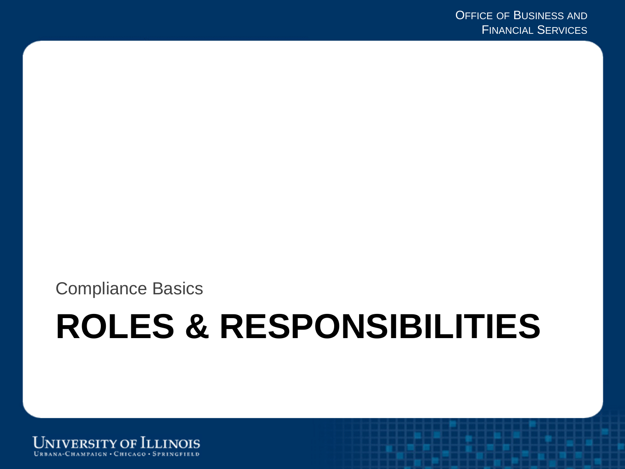Compliance Basics

## **ROLES & RESPONSIBILITIES**

**UNIVERSITY OF ILLINOIS** URBANA-CHAMPAIGN · CHICAGO · SPRINGFIELD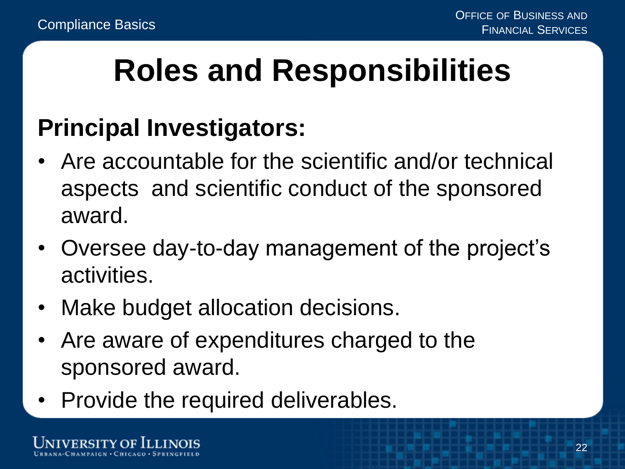### **Roles and Responsibilities**

#### **Principal Investigators:**

- Are accountable for the scientific and/or technical aspects and scientific conduct of the sponsored award.
- Oversee day-to-day management of the project's activities.
- Make budget allocation decisions.
- Are aware of expenditures charged to the sponsored award.
- Provide the required deliverables.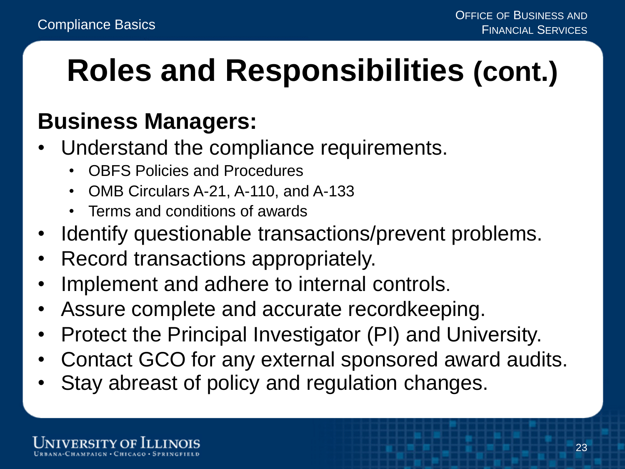### **Roles and Responsibilities (cont.)**

#### **Business Managers:**

- Understand the compliance requirements.
	- OBFS Policies and Procedures
	- OMB Circulars A-21, A-110, and A-133
	- Terms and conditions of awards
- Identify questionable transactions/prevent problems.
- Record transactions appropriately.
- Implement and adhere to internal controls.
- Assure complete and accurate recordkeeping.
- Protect the Principal Investigator (PI) and University.
- Contact GCO for any external sponsored award audits.
- Stay abreast of policy and regulation changes.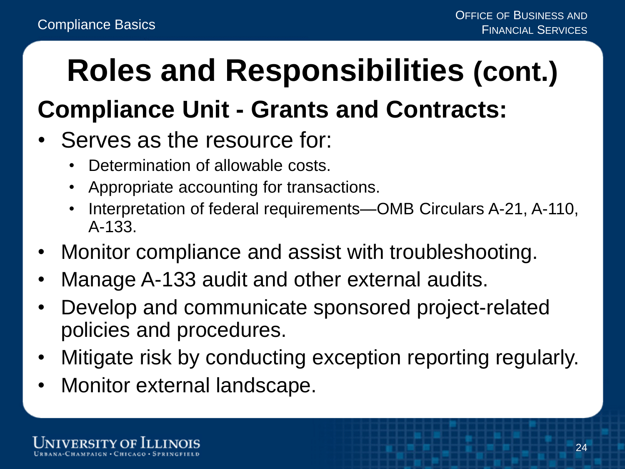## **Roles and Responsibilities (cont.)**

#### **Compliance Unit - Grants and Contracts:**

- Serves as the resource for:
	- Determination of allowable costs.
	- Appropriate accounting for transactions.
	- Interpretation of federal requirements—OMB Circulars A-21, A-110, A-133.
- Monitor compliance and assist with troubleshooting.
- Manage A-133 audit and other external audits.
- Develop and communicate sponsored project-related policies and procedures.
- Mitigate risk by conducting exception reporting regularly.
- Monitor external landscape.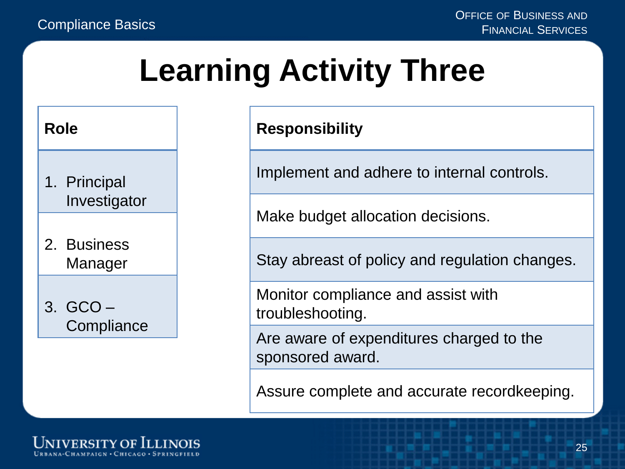### **Learning Activity Three**

#### **Role**

- 1. Principal Investigator
- 2. Business Manager

#### 3. GCO – **Compliance**

#### **Responsibility**

Implement and adhere to internal controls.

Make budget allocation decisions.

Stay abreast of policy and regulation changes.

Monitor compliance and assist with troubleshooting.

Are aware of expenditures charged to the sponsored award.

Assure complete and accurate recordkeeping.

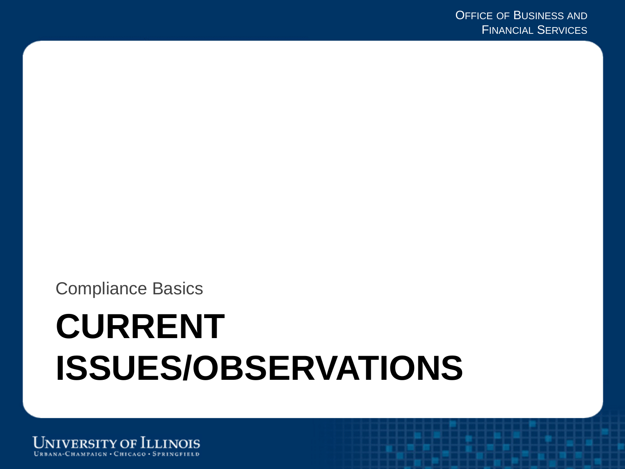Compliance Basics

## **CURRENT ISSUES/OBSERVATIONS**

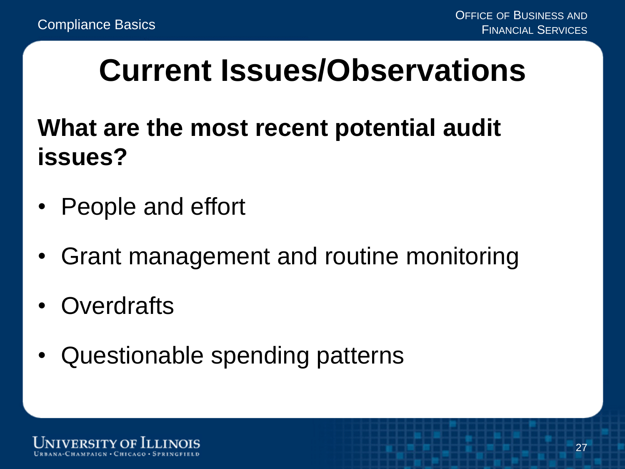#### **Current Issues/Observations**

**What are the most recent potential audit issues?**

- People and effort
- Grant management and routine monitoring
- Overdrafts
- Questionable spending patterns

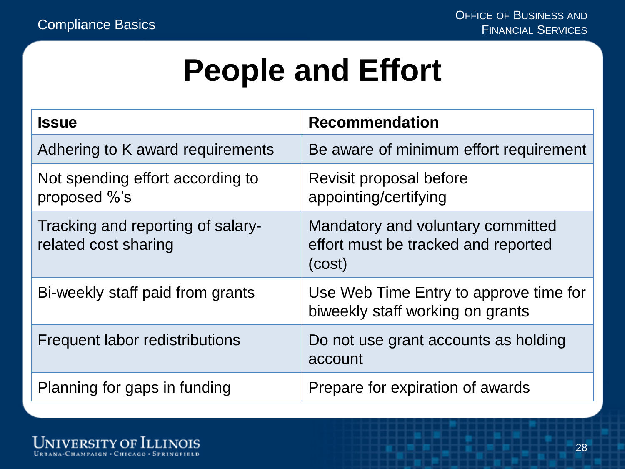#### **People and Effort**

| <b>Issue</b>                                              | <b>Recommendation</b>                                                              |
|-----------------------------------------------------------|------------------------------------------------------------------------------------|
| Adhering to K award requirements                          | Be aware of minimum effort requirement                                             |
| Not spending effort according to<br>proposed %'s          | Revisit proposal before<br>appointing/certifying                                   |
| Tracking and reporting of salary-<br>related cost sharing | Mandatory and voluntary committed<br>effort must be tracked and reported<br>(cost) |
| Bi-weekly staff paid from grants                          | Use Web Time Entry to approve time for<br>biweekly staff working on grants         |
| Frequent labor redistributions                            | Do not use grant accounts as holding<br>account                                    |
| Planning for gaps in funding                              | Prepare for expiration of awards                                                   |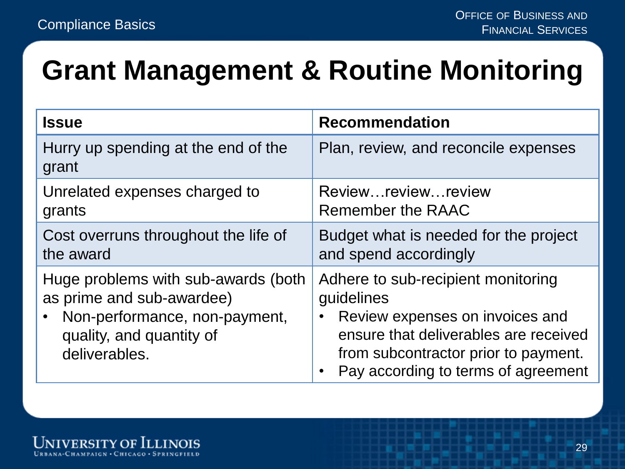#### **Grant Management & Routine Monitoring**

| <b>Issue</b>                                                                                                                                   | <b>Recommendation</b>                                                                                                                                                                                       |
|------------------------------------------------------------------------------------------------------------------------------------------------|-------------------------------------------------------------------------------------------------------------------------------------------------------------------------------------------------------------|
| Hurry up spending at the end of the<br>grant                                                                                                   | Plan, review, and reconcile expenses                                                                                                                                                                        |
| Unrelated expenses charged to<br>grants                                                                                                        | Reviewreviewreview<br>Remember the RAAC                                                                                                                                                                     |
| Cost overruns throughout the life of<br>the award                                                                                              | Budget what is needed for the project<br>and spend accordingly                                                                                                                                              |
| Huge problems with sub-awards (both<br>as prime and sub-awardee)<br>Non-performance, non-payment,<br>quality, and quantity of<br>deliverables. | Adhere to sub-recipient monitoring<br>guidelines<br>Review expenses on invoices and<br>ensure that deliverables are received<br>from subcontractor prior to payment.<br>Pay according to terms of agreement |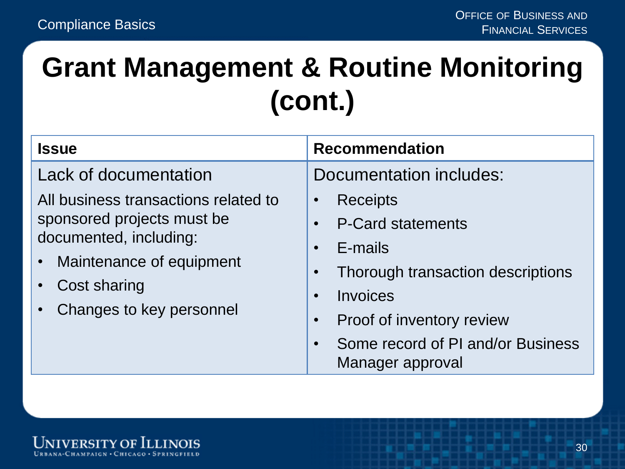#### **Grant Management & Routine Monitoring (cont.)**

| <b>Issue</b>                                                                                                                                                                                    | <b>Recommendation</b>                                                                                                                                                                                                                         |
|-------------------------------------------------------------------------------------------------------------------------------------------------------------------------------------------------|-----------------------------------------------------------------------------------------------------------------------------------------------------------------------------------------------------------------------------------------------|
| Lack of documentation<br>All business transactions related to<br>sponsored projects must be<br>documented, including:<br>• Maintenance of equipment<br>Cost sharing<br>Changes to key personnel | Documentation includes:<br><b>Receipts</b><br>$\bullet$<br><b>P-Card statements</b><br>$\bullet$<br>E-mails<br>$\bullet$<br>Thorough transaction descriptions<br>$\bullet$<br>Invoices<br>$\bullet$<br>Proof of inventory review<br>$\bullet$ |
|                                                                                                                                                                                                 | Some record of PI and/or Business<br>$\bullet$<br>Manager approval                                                                                                                                                                            |

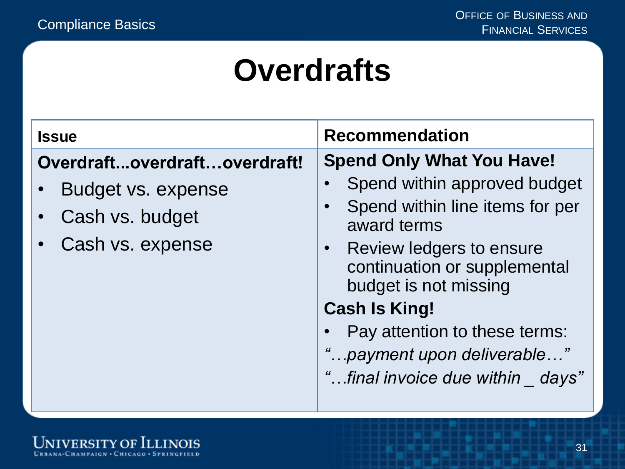#### **Overdrafts**

| <b>Issue</b>                                                                              | <b>Recommendation</b>                                                                                                                                                                                                                                                                                                                                       |
|-------------------------------------------------------------------------------------------|-------------------------------------------------------------------------------------------------------------------------------------------------------------------------------------------------------------------------------------------------------------------------------------------------------------------------------------------------------------|
| Overdraftoverdraftoverdraft!<br>Budget vs. expense<br>Cash vs. budget<br>Cash vs. expense | <b>Spend Only What You Have!</b><br>Spend within approved budget<br>Spend within line items for per<br>$\bullet$<br>award terms<br>Review ledgers to ensure<br>$\bullet$<br>continuation or supplemental<br>budget is not missing<br><b>Cash Is King!</b><br>Pay attention to these terms:<br>"payment upon deliverable"<br>"final invoice due within days" |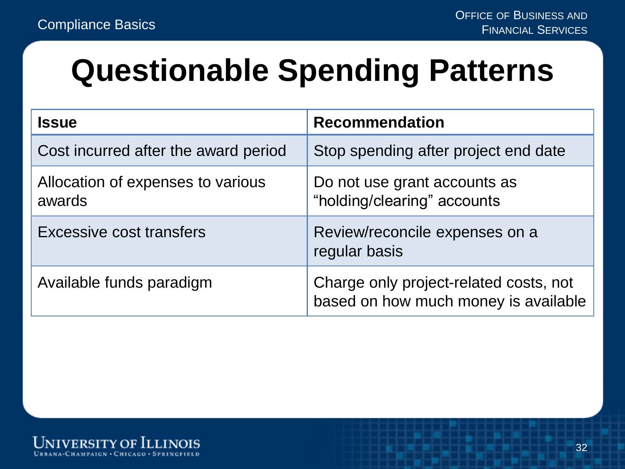#### **Questionable Spending Patterns**

| <b>Issue</b>                                | <b>Recommendation</b>                                                          |
|---------------------------------------------|--------------------------------------------------------------------------------|
| Cost incurred after the award period        | Stop spending after project end date                                           |
| Allocation of expenses to various<br>awards | Do not use grant accounts as<br>"holding/clearing" accounts                    |
| <b>Excessive cost transfers</b>             | Review/reconcile expenses on a<br>regular basis                                |
| Available funds paradigm                    | Charge only project-related costs, not<br>based on how much money is available |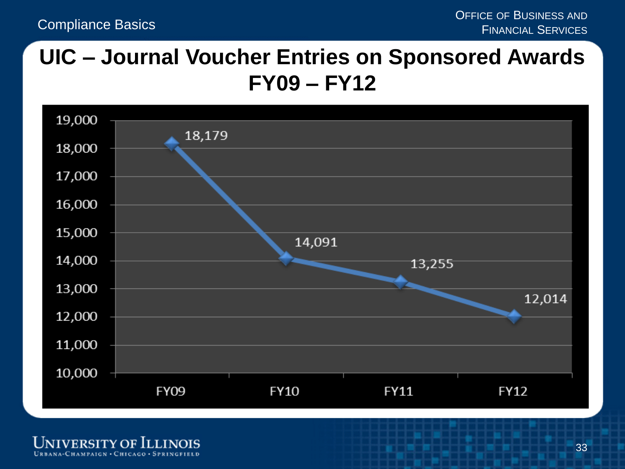#### **UIC – Journal Voucher Entries on Sponsored Awards FY09 – FY12**



University of Illinois URBANA-CHAMPAIGN . CHICAGO . SPRINGFIELD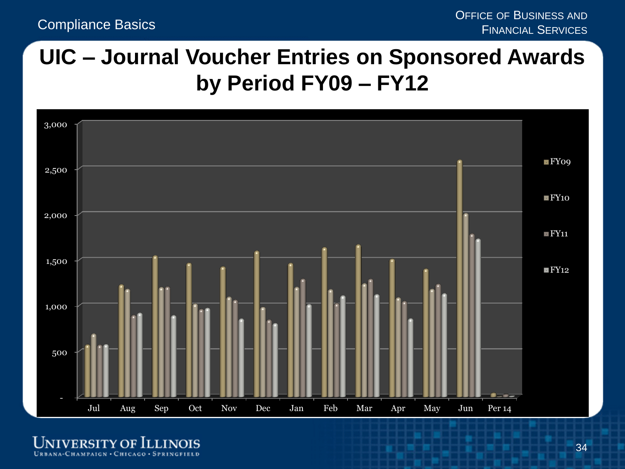#### **UIC – Journal Voucher Entries on Sponsored Awards by Period FY09 – FY12**



**UNIVERSITY OF ILLINOIS** URBANA-CHAMPAIGN · CHICAGO · SPRINGFIELD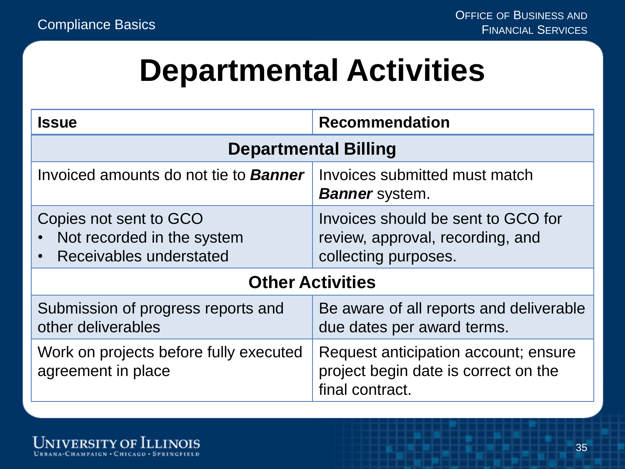#### **Departmental Activities**

| <b>Issue</b>                                                                    | <b>Recommendation</b>                                                                           |  |
|---------------------------------------------------------------------------------|-------------------------------------------------------------------------------------------------|--|
| <b>Departmental Billing</b>                                                     |                                                                                                 |  |
| Invoiced amounts do not tie to <b>Banner</b>                                    | Invoices submitted must match<br><b>Banner</b> system.                                          |  |
| Copies not sent to GCO<br>Not recorded in the system<br>Receivables understated | Invoices should be sent to GCO for<br>review, approval, recording, and<br>collecting purposes.  |  |
| <b>Other Activities</b>                                                         |                                                                                                 |  |
| Submission of progress reports and<br>other deliverables                        | Be aware of all reports and deliverable<br>due dates per award terms.                           |  |
| Work on projects before fully executed<br>agreement in place                    | Request anticipation account; ensure<br>project begin date is correct on the<br>final contract. |  |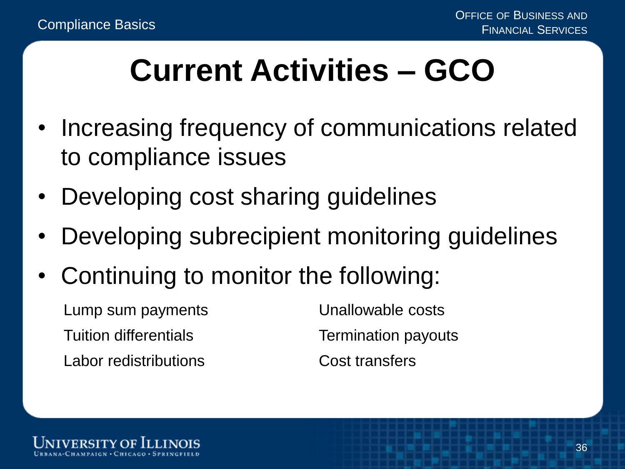### **Current Activities – GCO**

- Increasing frequency of communications related to compliance issues
- Developing cost sharing guidelines
- Developing subrecipient monitoring guidelines
- Continuing to monitor the following:
	- Lump sum payments Unallowable costs Tuition differentials Termination payouts Labor redistributions The Cost transfers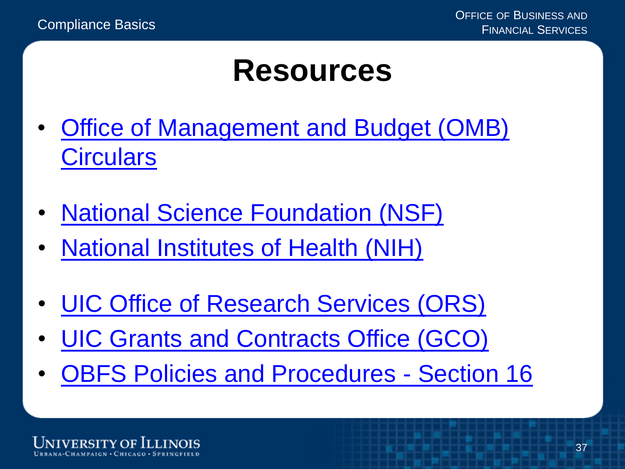#### **Resources**

- [Office of Management and Budget \(OMB\)](https://obamawhitehouse.archives.gov/omb/circulars_default) **[Circulars](https://obamawhitehouse.archives.gov/omb/circulars_default)**
- [National Science Foundation \(NSF\)](http://www.nsf.gov/)
- [National Institutes of Health \(NIH\)](http://grants.nih.gov/grants/oer.htm)
- [UIC Office of Research Services \(ORS\)](https://research.uic.edu/)
- [UIC Grants and Contracts Office \(GCO\)](http://www.obfs.uillinois.edu/grants/)
- [OBFS Policies and Procedures Section 16](http://www.obfs.uillinois.edu/bfpp/section-16-grants-research-contracts)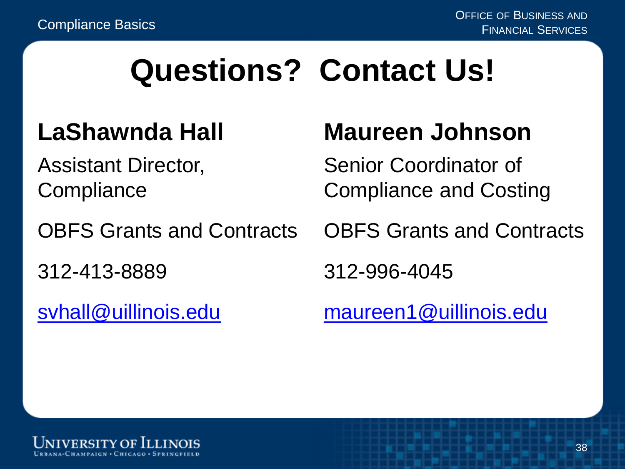#### **Questions? Contact Us!**

#### **LaShawnda Hall**

Assistant Director, **Compliance** 

OBFS Grants and Contracts

312-413-8889

[svhall@uillinois.edu](mailto:svhall@uillinois.edu)

#### **Maureen Johnson**

Senior Coordinator of Compliance and Costing

OBFS Grants and Contracts

312-996-4045

[maureen1@uillinois.edu](mailto:maureen1@uillinois.edu)

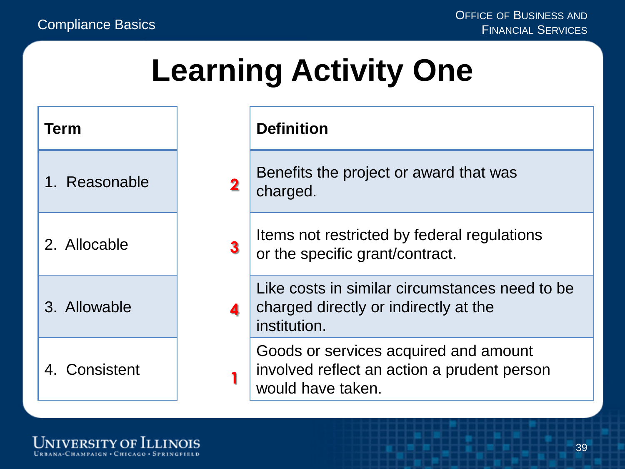#### **Learning Activity One**

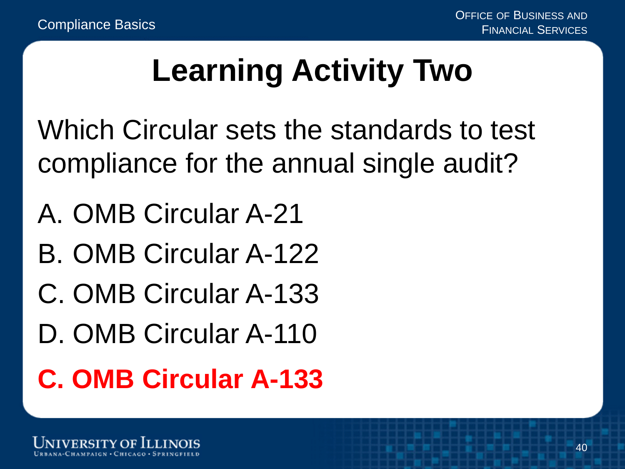### **Learning Activity Two**

Which Circular sets the standards to test compliance for the annual single audit?

- A. OMB Circular A-21
- B. OMB Circular A-122
- C. OMB Circular A-133
- D. OMB Circular A-110

#### **C. OMB Circular A-133**